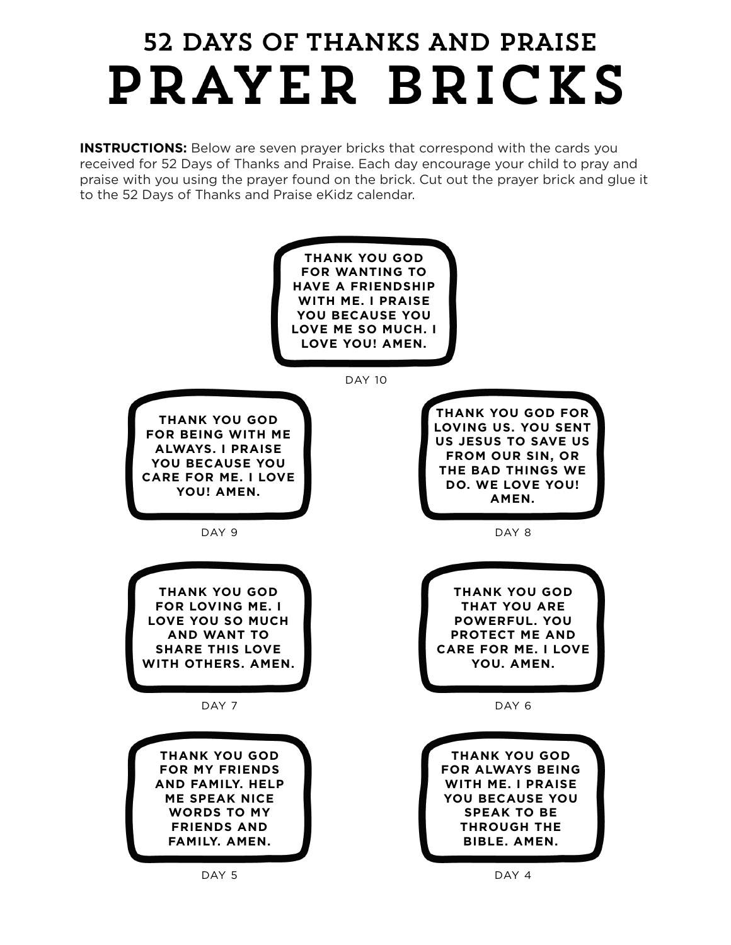## 52 DAYS OF THANKS AND PRAISE PRAYER BRICKS

**INSTRUCTIONS:** Below are seven prayer bricks that correspond with the cards you received for 52 Days of Thanks and Praise. Each day encourage your child to pray and praise with you using the prayer found on the brick. Cut out the prayer brick and glue it to the 52 Days of Thanks and Praise eKidz calendar.